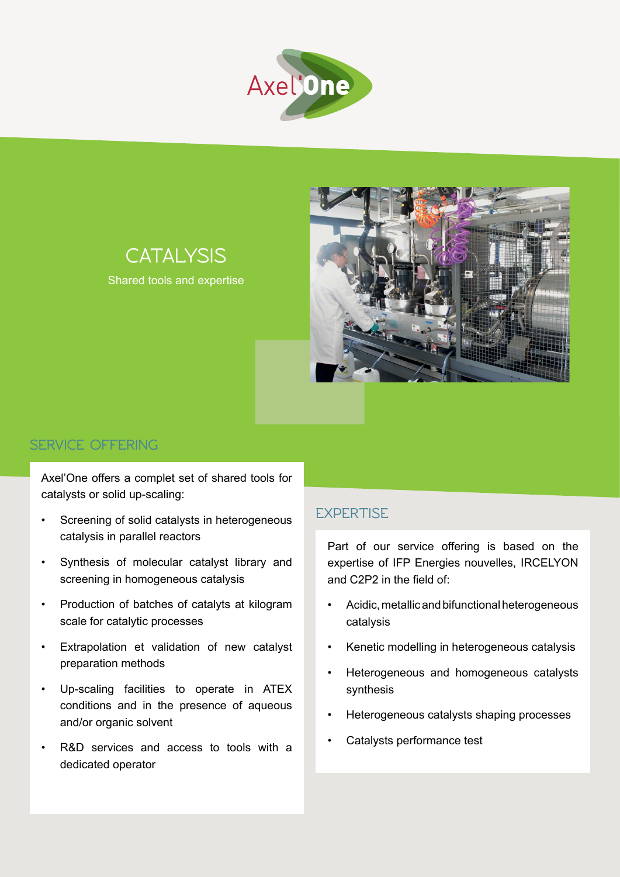



# **CATALYSIS**

Shared tools and expertise

### **ServiCe OFFERING**

Axel'One offers a complet set of shared tools for catalysts or solid up-scaling:

- Screening of solid catalysts in heterogeneous catalysis in parallel reactors
- Synthesis of molecular catalyst library and screening in homogeneous catalysis
- Production of batches of catalyts at kilogram scale for catalytic processes
- Extrapolation et validation of new catalyst preparation methods
- Up-scaling facilities to operate in ATEX conditions and in the presence of aqueous and/or organic solvent
- R&D services and access to tools with a dedicated operator

### **expertise**

Part of our service offering is based on the expertise of IFP Energies nouvelles, IRCELYON and C2P2 in the field of:

- • Acidic, metallic and bifunctional heterogeneous catalysis
- Kenetic modelling in heterogeneous catalysis
- Heterogeneous and homogeneous catalysts synthesis
- Heterogeneous catalysts shaping processes
- Catalysts performance test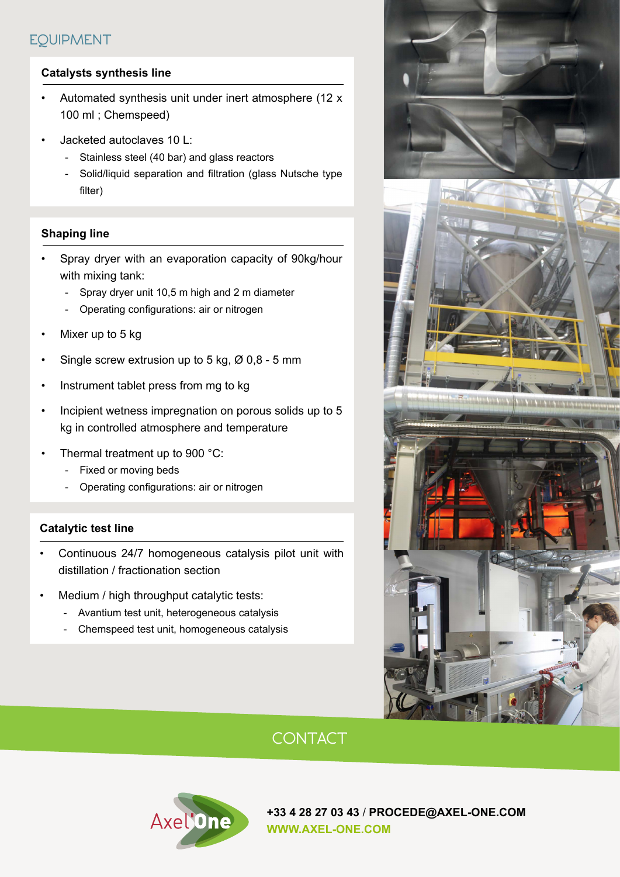## **EQUIPMENT**

#### **Catalysts synthesis line**

- Automated synthesis unit under inert atmosphere (12 x 100 ml ; Chemspeed)
- Jacketed autoclaves 10 L:
	- Stainless steel (40 bar) and glass reactors
	- Solid/liquid separation and filtration (glass Nutsche type filter)

#### **Shaping line**

- Spray dryer with an evaporation capacity of 90kg/hour with mixing tank:
	- Spray dryer unit 10,5 m high and 2 m diameter
	- Operating configurations: air or nitrogen
- Mixer up to 5 kg
- Single screw extrusion up to 5 kg,  $\varnothing$  0,8 5 mm
- Instrument tablet press from mg to kg
- Incipient wetness impregnation on porous solids up to 5 kg in controlled atmosphere and temperature
- Thermal treatment up to 900  $^{\circ}$ C:
	- Fixed or moving beds
	- Operating configurations: air or nitrogen

#### **Catalytic test line**

- Continuous 24/7 homogeneous catalysis pilot unit with distillation / fractionation section
- Medium / high throughput catalytic tests:
	- Avantium test unit, heterogeneous catalysis
	- Chemspeed test unit, homogeneous catalysis



## **Contact**



**+33 4 28 27 03 43** / **PROCEDE@axel-one.com www.axel-one.com**